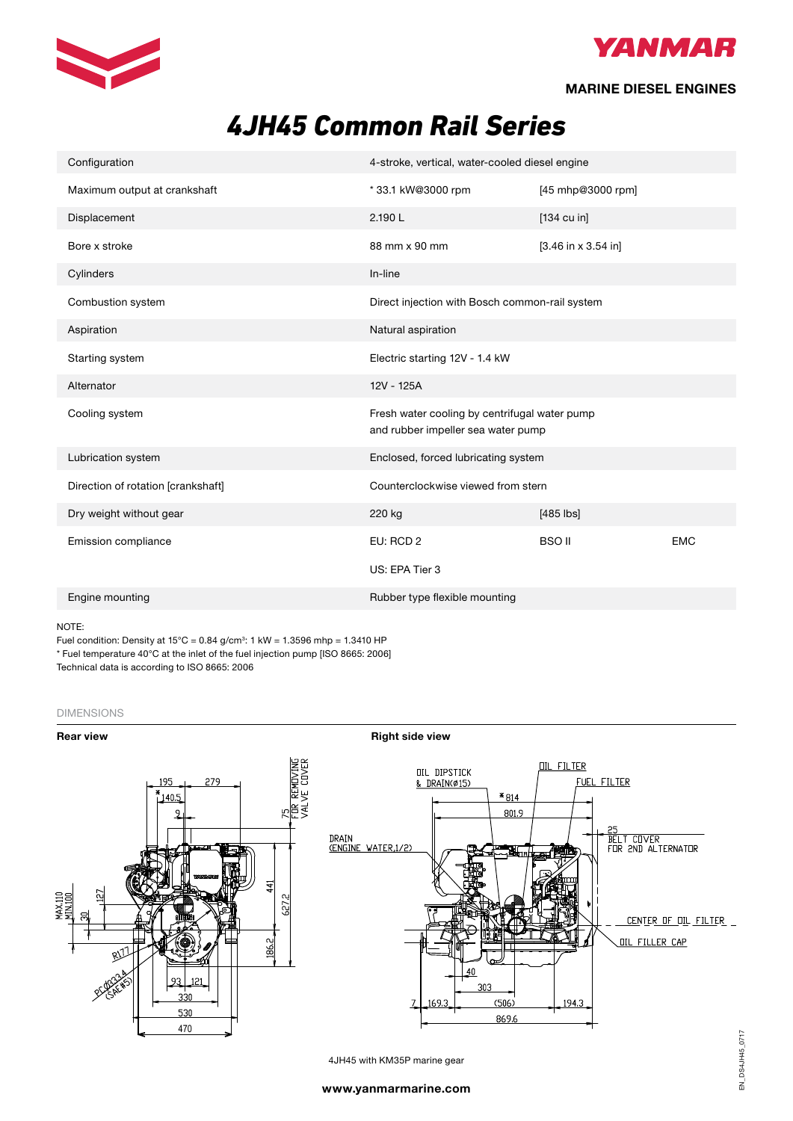



## **MARINE DIESEL ENGINES**

# *4JH45 Common Rail Series*

| Configuration                      | 4-stroke, vertical, water-cooled diesel engine                                      |                       |            |
|------------------------------------|-------------------------------------------------------------------------------------|-----------------------|------------|
| Maximum output at crankshaft       | *33.1 kW@3000 rpm                                                                   | [45 mhp@3000 rpm]     |            |
| Displacement                       | 2.190L                                                                              | $[134 \text{ cu in}]$ |            |
| Bore x stroke                      | 88 mm x 90 mm                                                                       | $[3.46$ in x 3.54 in] |            |
| Cylinders                          | In-line                                                                             |                       |            |
| Combustion system                  | Direct injection with Bosch common-rail system                                      |                       |            |
| Aspiration                         | Natural aspiration                                                                  |                       |            |
| Starting system                    | Electric starting 12V - 1.4 kW                                                      |                       |            |
| Alternator                         | 12V - 125A                                                                          |                       |            |
| Cooling system                     | Fresh water cooling by centrifugal water pump<br>and rubber impeller sea water pump |                       |            |
| Lubrication system                 | Enclosed, forced lubricating system                                                 |                       |            |
| Direction of rotation [crankshaft] | Counterclockwise viewed from stern                                                  |                       |            |
| Dry weight without gear            | 220 kg                                                                              | $[485$ $ bs]$         |            |
| Emission compliance                | EU: RCD 2                                                                           | <b>BSO II</b>         | <b>EMC</b> |
|                                    | US: EPA Tier 3                                                                      |                       |            |
| Engine mounting                    | Rubber type flexible mounting                                                       |                       |            |

NOTE:

Fuel condition: Density at 15°C = 0.84 g/cm $^{\circ}$ : 1 kW = 1.3596 mhp = 1.3410 HP \* Fuel temperature 40°C at the inlet of the fuel injection pump [ISO 8665: 2006] Technical data is according to ISO 8665: 2006

### DIMENSIONS



4JH45 with KM35P marine gear

, 23<br>BELT COVER<br>FOR 2ND ALTERNATOR

**OIL FILLER CAP** 

CENTER OF OIL FILTER